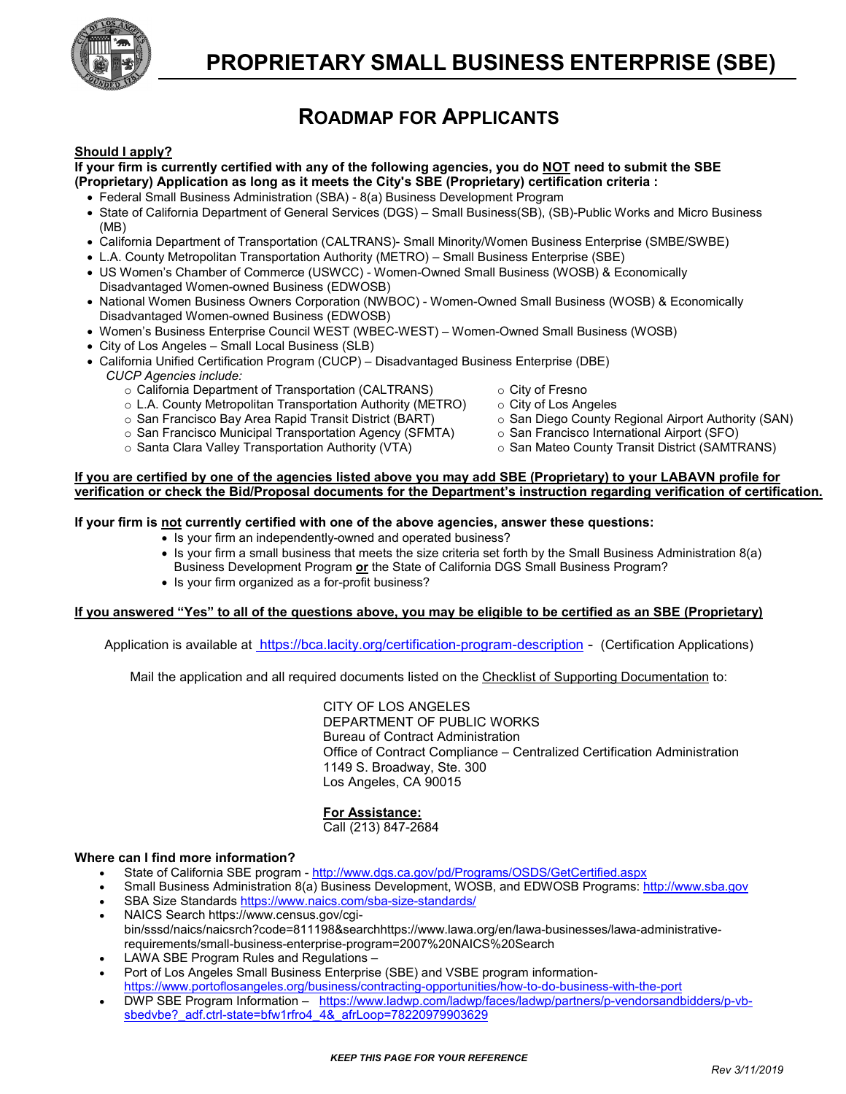

# **ROADMAP FOR APPLICANTS**

# **Should I apply?**

#### **If your firm is currently certified with any of the following agencies, you do NOT need to submit the SBE (Proprietary) Application as long as it meets the City's SBE (Proprietary) certification criteria :**

- Federal Small Business Administration (SBA) 8(a) Business Development Program
- State of California Department of General Services (DGS) Small Business(SB), (SB)-Public Works and Micro Business (MB)
- California Department of Transportation (CALTRANS)- Small Minority/Women Business Enterprise (SMBE/SWBE)
- L.A. County Metropolitan Transportation Authority (METRO) Small Business Enterprise (SBE)
- US Women's Chamber of Commerce (USWCC) Women-Owned Small Business (WOSB) & Economically Disadvantaged Women-owned Business (EDWOSB)
- National Women Business Owners Corporation (NWBOC) Women-Owned Small Business (WOSB) & Economically Disadvantaged Women-owned Business (EDWOSB)
- Women's Business Enterprise Council WEST (WBEC-WEST) Women-Owned Small Business (WOSB)
- City of Los Angeles Small Local Business (SLB)
- California Unified Certification Program (CUCP) Disadvantaged Business Enterprise (DBE) *CUCP Agencies include:*
	- $\circ$  California Department of Transportation (CALTRANS)  $\circ$  City of Fresno<br>  $\circ$  L.A. County Metropolitan Transportation Authority (METRO)  $\circ$  City of Los Angeles
	- o L.A. County Metropolitan Transportation Authority (METRO) o City of Los Angeles<br>○ San Francisco Bay Area Rapid Transit District (BART) o San Diego County Regional Airport Authority (SAN)
	- ⊙ San Francisco Bay Area Rapid Transit District (BART) o San Diego County Regional Airport Authority (SFO)<br>⊙ San Francisco Municipal Transportation Agency (SFMTA) o San Francisco International Airport (SFO)
	- o San Francisco Municipal Transportation Agency (SFMTA) o San Francisco International Airport (SFO)<br>○ Santa Clara Valley Transportation Authority (VTA) o San Mateo County Transit District (SAMTRANS)
	- o Santa Clara Valley Transportation Authority (VTA)
- 
- 
- 
- 
- 

#### **If you are certified by one of the agencies listed above you may add SBE (Proprietary) to your LABAVN profile for verification or check the Bid/Proposal documents for the Department's instruction regarding verification of certification.**

#### **If your firm is not currently certified with one of the above agencies, answer these questions:**

- Is your firm an independently-owned and operated business?
- Is your firm a small business that meets the size criteria set forth by the Small Business Administration 8(a) Business Development Program **or** the State of California DGS Small Business Program?
- Is your firm organized as a for-profit business?

#### **If you answered "Yes" to all of the questions above, you may be eligible to be certified as an SBE (Proprietary)**

Application is available at<https://bca.lacity.org/certification-program-description> - (Certification Applications)

Mail the application and all required documents listed on the Checklist of Supporting Documentation to:

CITY OF LOS ANGELES DEPARTMENT OF PUBLIC WORKS Bureau of Contract Administration Office of Contract Compliance – Centralized Certification Administration 1149 S. Broadway, Ste. 300 Los Angeles, CA 90015

#### **For Assistance:**

Call (213) 847-2684

#### **Where can I find more information?**

- State of California SBE program <http://www.dgs.ca.gov/pd/Programs/OSDS/GetCertified.aspx>
- Small Business Administration 8(a) Business Development, WOSB, and EDWOSB Programs[: http://www.sba.gov](http://www.sba.gov/category/navigation-structure/contracting/working-with-government/small-business-certifications-audiences)
- SBA Size Standards<https://www.naics.com/sba-size-standards/>
- NAICS Search https://www.census.gov/cgibin/sssd/naics/naicsrch?code=811198&searchhttps://www.lawa.org/en/lawa-businesses/lawa-administrativerequirements/small-business-enterprise-program=2007%20NAICS%20Search
- LAWA SBE Program Rules and Regulations –
- Port of Los Angeles Small Business Enterprise (SBE) and VSBE program information-
- <https://www.portoflosangeles.org/business/contracting-opportunities/how-to-do-business-with-the-port> • DWP SBE Program Information – [https://www.ladwp.com/ladwp/faces/ladwp/partners/p-vendorsandbidders/p-vb](https://www.ladwp.com/ladwp/faces/ladwp/partners/p-vendorsandbidders/p-vb-sbedvbe?_adf.ctrl-state=bfw1rfro4_4&_afrLoop=78220979903629)sbedvbe? adf.ctrl-state=bfw1rfro4\_4&\_afrLoop=78220979903629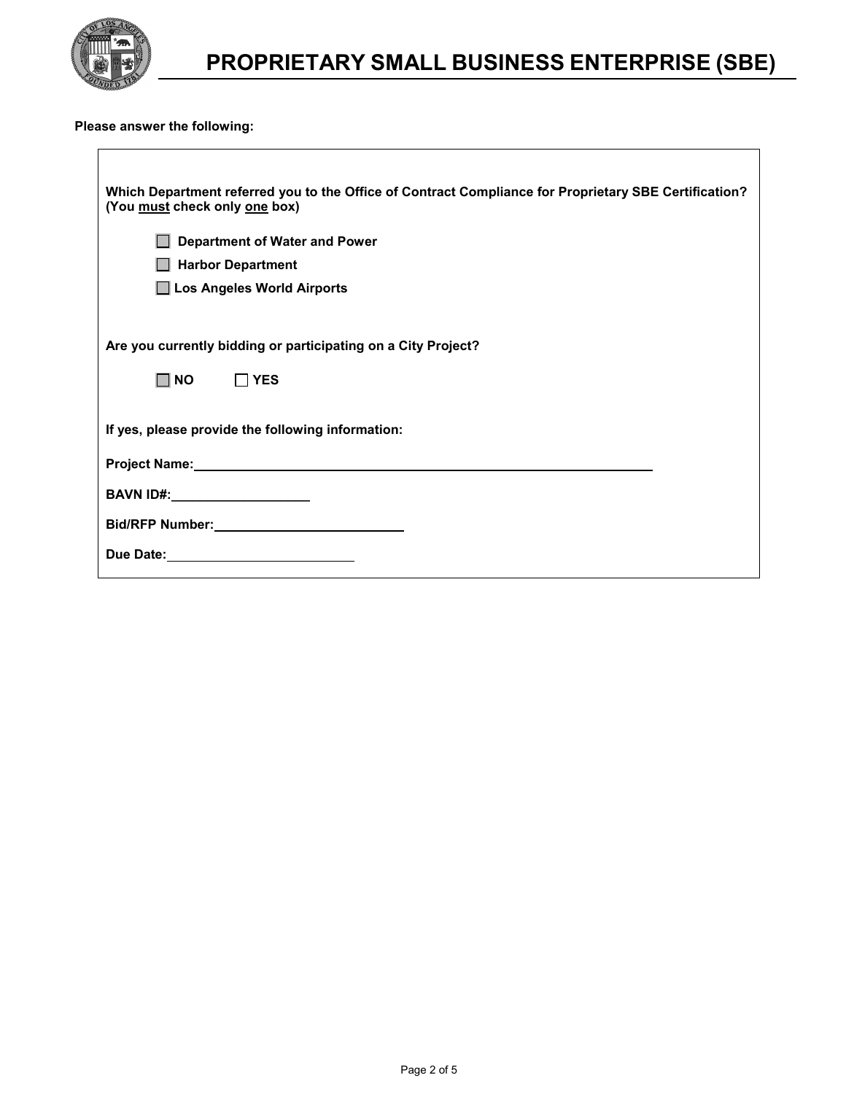

 $\overline{\phantom{a}}$ 

# **PROPRIETARY SMALL BUSINESS ENTERPRISE (SBE)**

H

### **Please answer the following:**

| Which Department referred you to the Office of Contract Compliance for Proprietary SBE Certification?<br>(You must check only one box) |
|----------------------------------------------------------------------------------------------------------------------------------------|
| <b>Department of Water and Power</b>                                                                                                   |
| <b>Harbor Department</b>                                                                                                               |
| Los Angeles World Airports                                                                                                             |
|                                                                                                                                        |
| Are you currently bidding or participating on a City Project?                                                                          |
| $\square$ NO<br>$\Box$ YES                                                                                                             |
|                                                                                                                                        |
| If yes, please provide the following information:                                                                                      |
|                                                                                                                                        |
| BAVN ID#:_____________________                                                                                                         |
|                                                                                                                                        |
|                                                                                                                                        |
|                                                                                                                                        |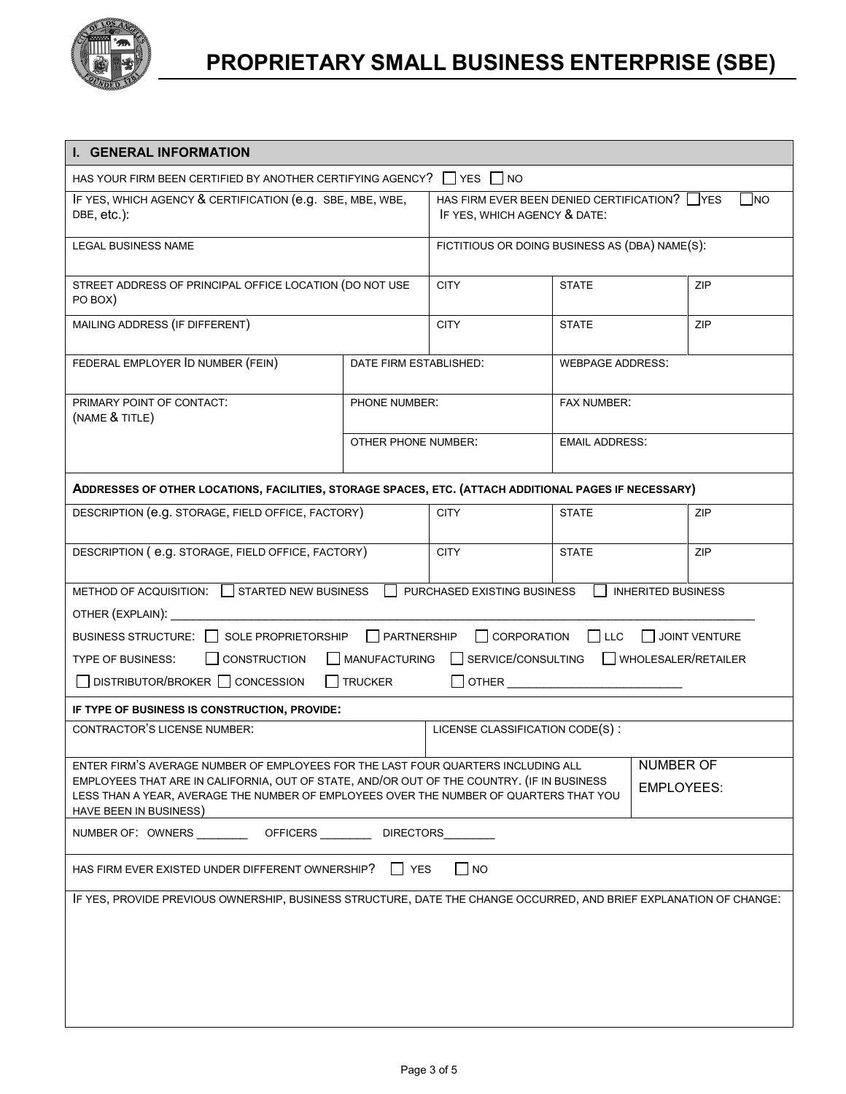

| I. GENERAL INFORMATION                                                                                                                                                                                         |                        |                                                                                            |                         |                           |            |
|----------------------------------------------------------------------------------------------------------------------------------------------------------------------------------------------------------------|------------------------|--------------------------------------------------------------------------------------------|-------------------------|---------------------------|------------|
| HAS YOUR FIRM BEEN CERTIFIED BY ANOTHER CERTIFYING AGENCY? $\Box$ YES $\Box$ NO                                                                                                                                |                        |                                                                                            |                         |                           |            |
| IF YES, WHICH AGENCY & CERTIFICATION (e.g. SBE, MBE, WBE,<br>DBE, etc.):                                                                                                                                       |                        | HAS FIRM EVER BEEN DENIED CERTIFICATION? YES<br><b>INO</b><br>IF YES, WHICH AGENCY & DATE: |                         |                           |            |
| <b>LEGAL BUSINESS NAME</b>                                                                                                                                                                                     |                        | FICTITIOUS OR DOING BUSINESS AS (DBA) NAME(S):                                             |                         |                           |            |
| STREET ADDRESS OF PRINCIPAL OFFICE LOCATION (DO NOT USE<br>PO BOX)                                                                                                                                             |                        | <b>CITY</b>                                                                                | <b>STATE</b>            |                           | <b>ZIP</b> |
| MAILING ADDRESS (IF DIFFERENT)                                                                                                                                                                                 |                        | <b>CITY</b>                                                                                | <b>STATE</b>            |                           | ZIP        |
| FEDERAL EMPLOYER ID NUMBER (FEIN)                                                                                                                                                                              | DATE FIRM ESTABLISHED: |                                                                                            | <b>WEBPAGE ADDRESS:</b> |                           |            |
| PRIMARY POINT OF CONTACT:<br>(NAME & TITLE)                                                                                                                                                                    | PHONE NUMBER:          |                                                                                            | <b>FAX NUMBER:</b>      |                           |            |
|                                                                                                                                                                                                                | OTHER PHONE NUMBER:    |                                                                                            | <b>EMAIL ADDRESS:</b>   |                           |            |
| ADDRESSES OF OTHER LOCATIONS, FACILITIES, STORAGE SPACES, ETC. (ATTACH ADDITIONAL PAGES IF NECESSARY)                                                                                                          |                        |                                                                                            |                         |                           |            |
| DESCRIPTION (e.g. STORAGE, FIELD OFFICE, FACTORY)                                                                                                                                                              |                        | <b>CITY</b>                                                                                | <b>STATE</b>            |                           | ZIP        |
| DESCRIPTION ( e.g. STORAGE, FIELD OFFICE, FACTORY)                                                                                                                                                             |                        | <b>CITY</b>                                                                                | <b>STATE</b>            |                           | <b>ZIP</b> |
| METHOD OF ACQUISITION: STARTED NEW BUSINESS<br>OTHER (EXPLAIN):                                                                                                                                                |                        | PURCHASED EXISTING BUSINESS                                                                |                         | <b>INHERITED BUSINESS</b> |            |
| BUSINESS STRUCTURE: □ SOLE PROPRIETORSHIP □ PARTNERSHIP<br>CORPORATION<br>JOINT VENTURE<br>I LLC                                                                                                               |                        |                                                                                            |                         |                           |            |
| SERVICE/CONSULTING<br>WHOLESALER/RETAILER<br><b>CONSTRUCTION</b><br>MANUFACTURING<br><b>TYPE OF BUSINESS:</b>                                                                                                  |                        |                                                                                            |                         |                           |            |
| $\Box$ DISTRIBUTOR/BROKER $\Box$ CONCESSION                                                                                                                                                                    | $\Box$ TRUCKER         |                                                                                            |                         |                           |            |
| IF TYPE OF BUSINESS IS CONSTRUCTION, PROVIDE:                                                                                                                                                                  |                        |                                                                                            |                         |                           |            |
| <b>CONTRACTOR'S LICENSE NUMBER:</b>                                                                                                                                                                            |                        | LICENSE CLASSIFICATION CODE(S):                                                            |                         |                           |            |
| ENTER FIRM'S AVERAGE NUMBER OF EMPLOYEES FOR THE LAST FOUR QUARTERS INCLUDING ALL                                                                                                                              | <b>NUMBER OF</b>       |                                                                                            |                         |                           |            |
| EMPLOYEES THAT ARE IN CALIFORNIA, OUT OF STATE, AND/OR OUT OF THE COUNTRY. (IF IN BUSINESS<br>LESS THAN A YEAR, AVERAGE THE NUMBER OF EMPLOYEES OVER THE NUMBER OF QUARTERS THAT YOU<br>HAVE BEEN IN BUSINESS) | EMPLOYEES:             |                                                                                            |                         |                           |            |
| NUMBER OF: OWNERS ____________ OFFICERS __________ DIRECTORS                                                                                                                                                   |                        |                                                                                            |                         |                           |            |
| HAS FIRM EVER EXISTED UNDER DIFFERENT OWNERSHIP?                                                                                                                                                               | YES                    | $\Box$ NO                                                                                  |                         |                           |            |
| IF YES, PROVIDE PREVIOUS OWNERSHIP, BUSINESS STRUCTURE, DATE THE CHANGE OCCURRED, AND BRIEF EXPLANATION OF CHANGE:                                                                                             |                        |                                                                                            |                         |                           |            |
|                                                                                                                                                                                                                |                        |                                                                                            |                         |                           |            |
|                                                                                                                                                                                                                |                        |                                                                                            |                         |                           |            |
|                                                                                                                                                                                                                |                        |                                                                                            |                         |                           |            |
|                                                                                                                                                                                                                |                        |                                                                                            |                         |                           |            |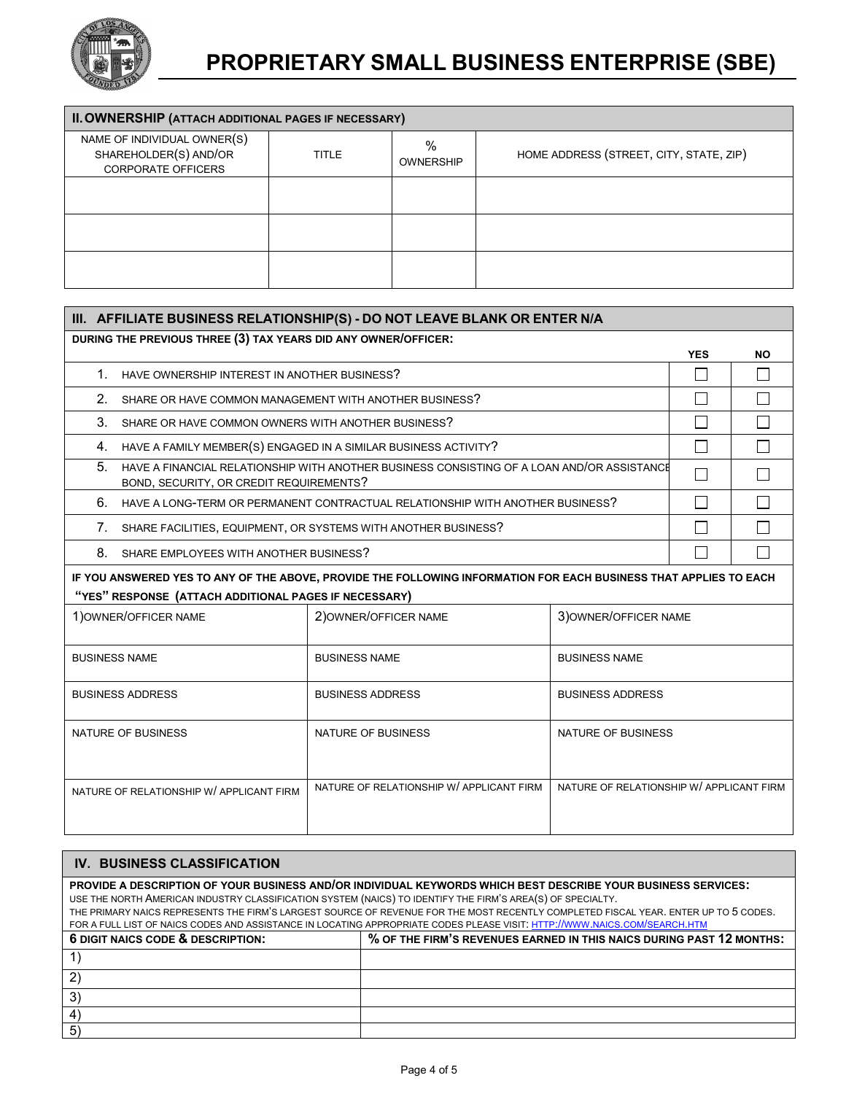

| II. OWNERSHIP (ATTACH ADDITIONAL PAGES IF NECESSARY)                              |              |                       |                                         |  |
|-----------------------------------------------------------------------------------|--------------|-----------------------|-----------------------------------------|--|
| NAME OF INDIVIDUAL OWNER(S)<br>SHAREHOLDER(S) AND/OR<br><b>CORPORATE OFFICERS</b> | <b>TITLE</b> | %<br><b>OWNERSHIP</b> | HOME ADDRESS (STREET, CITY, STATE, ZIP) |  |
|                                                                                   |              |                       |                                         |  |
|                                                                                   |              |                       |                                         |  |
|                                                                                   |              |                       |                                         |  |

| III. AFFILIATE BUSINESS RELATIONSHIP(S) - DO NOT LEAVE BLANK OR ENTER N/A                                                                                                  |                                                                                                                                       |                                          |                                          |            |           |  |
|----------------------------------------------------------------------------------------------------------------------------------------------------------------------------|---------------------------------------------------------------------------------------------------------------------------------------|------------------------------------------|------------------------------------------|------------|-----------|--|
| DURING THE PREVIOUS THREE (3) TAX YEARS DID ANY OWNER/OFFICER:                                                                                                             |                                                                                                                                       |                                          |                                          | <b>YES</b> | <b>NO</b> |  |
|                                                                                                                                                                            | 1. HAVE OWNERSHIP INTEREST IN ANOTHER BUSINESS?                                                                                       |                                          |                                          |            |           |  |
| $2^{\circ}$                                                                                                                                                                | SHARE OR HAVE COMMON MANAGEMENT WITH ANOTHER BUSINESS?                                                                                |                                          |                                          |            |           |  |
| 3.                                                                                                                                                                         | SHARE OR HAVE COMMON OWNERS WITH ANOTHER BUSINESS?                                                                                    |                                          | П                                        |            |           |  |
|                                                                                                                                                                            | 4. HAVE A FAMILY MEMBER(S) ENGAGED IN A SIMILAR BUSINESS ACTIVITY?                                                                    |                                          |                                          |            |           |  |
| 5.                                                                                                                                                                         | HAVE A FINANCIAL RELATIONSHIP WITH ANOTHER BUSINESS CONSISTING OF A LOAN AND/OR ASSISTANCE<br>BOND, SECURITY, OR CREDIT REQUIREMENTS? |                                          |                                          |            |           |  |
| 6.                                                                                                                                                                         | HAVE A LONG-TERM OR PERMANENT CONTRACTUAL RELATIONSHIP WITH ANOTHER BUSINESS?                                                         |                                          |                                          |            |           |  |
|                                                                                                                                                                            | 7. SHARE FACILITIES, EQUIPMENT, OR SYSTEMS WITH ANOTHER BUSINESS?                                                                     |                                          |                                          |            |           |  |
|                                                                                                                                                                            | 8.<br>SHARE EMPLOYEES WITH ANOTHER BUSINESS?                                                                                          |                                          |                                          |            |           |  |
| IF YOU ANSWERED YES TO ANY OF THE ABOVE, PROVIDE THE FOLLOWING INFORMATION FOR EACH BUSINESS THAT APPLIES TO EACH<br>"YES" RESPONSE (ATTACH ADDITIONAL PAGES IF NECESSARY) |                                                                                                                                       |                                          |                                          |            |           |  |
|                                                                                                                                                                            | 1) OWNER/OFFICER NAME                                                                                                                 | 2) OWNER/OFFICER NAME                    | 3) OWNER/OFFICER NAME                    |            |           |  |
|                                                                                                                                                                            | <b>BUSINESS NAME</b>                                                                                                                  | <b>BUSINESS NAME</b>                     | <b>BUSINESS NAME</b>                     |            |           |  |
|                                                                                                                                                                            | <b>BUSINESS ADDRESS</b>                                                                                                               | <b>BUSINESS ADDRESS</b>                  | <b>BUSINESS ADDRESS</b>                  |            |           |  |
|                                                                                                                                                                            | <b>NATURE OF BUSINESS</b>                                                                                                             | <b>NATURE OF BUSINESS</b>                | NATURE OF BUSINESS                       |            |           |  |
| NATURE OF RELATIONSHIP W/ APPLICANT FIRM                                                                                                                                   |                                                                                                                                       | NATURE OF RELATIONSHIP W/ APPLICANT FIRM | NATURE OF RELATIONSHIP W/ APPLICANT FIRM |            |           |  |

| <b>IV. BUSINESS CLASSIFICATION</b>                                                                         |                                                                                                                                     |  |  |  |
|------------------------------------------------------------------------------------------------------------|-------------------------------------------------------------------------------------------------------------------------------------|--|--|--|
|                                                                                                            | PROVIDE A DESCRIPTION OF YOUR BUSINESS AND/OR INDIVIDUAL KEYWORDS WHICH BEST DESCRIBE YOUR BUSINESS SERVICES:                       |  |  |  |
| USE THE NORTH AMERICAN INDUSTRY CLASSIFICATION SYSTEM (NAICS) TO IDENTIFY THE FIRM'S AREA(S) OF SPECIALTY. |                                                                                                                                     |  |  |  |
|                                                                                                            | THE PRIMARY NAICS REPRESENTS THE FIRM'S LARGEST SOURCE OF REVENUE FOR THE MOST RECENTLY COMPLETED FISCAL YEAR. ENTER UP TO 5 CODES. |  |  |  |
|                                                                                                            | FOR A FULL LIST OF NAICS CODES AND ASSISTANCE IN LOCATING APPROPRIATE CODES PLEASE VISIT: HTTP://WWW.NAICS.COM/SEARCH.HTM           |  |  |  |
| 6 DIGIT NAICS CODE & DESCRIPTION:                                                                          | % OF THE FIRM'S REVENUES EARNED IN THIS NAICS DURING PAST 12 MONTHS:                                                                |  |  |  |
|                                                                                                            |                                                                                                                                     |  |  |  |
|                                                                                                            |                                                                                                                                     |  |  |  |
| 3)                                                                                                         |                                                                                                                                     |  |  |  |
| 4                                                                                                          |                                                                                                                                     |  |  |  |
| 5 <sup>2</sup>                                                                                             |                                                                                                                                     |  |  |  |